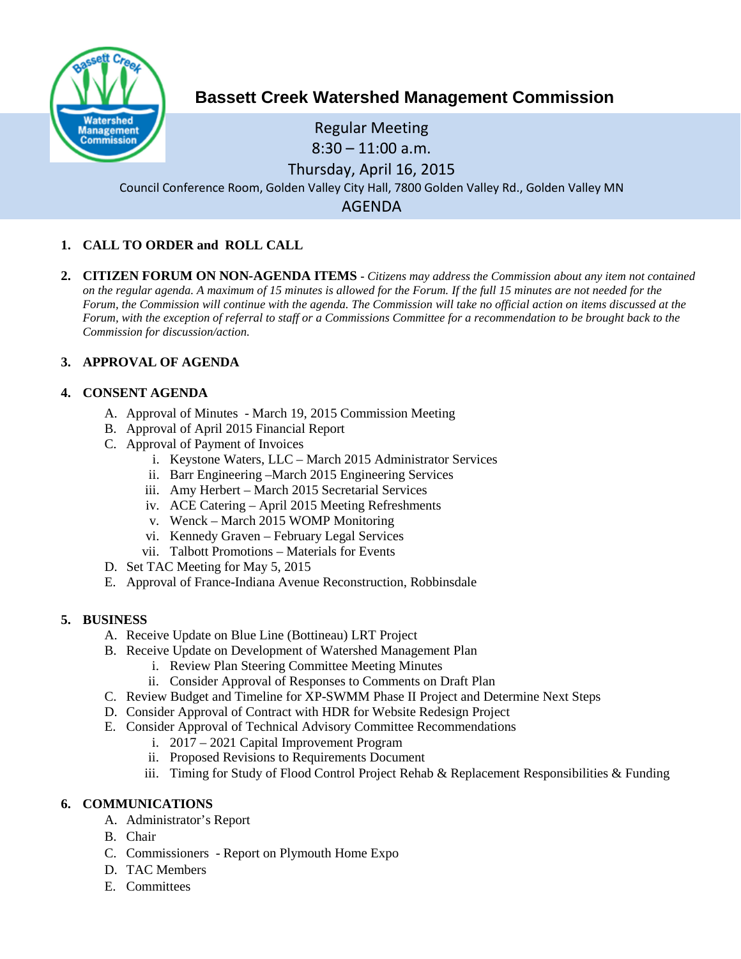

# **Bassett Creek Watershed Management Commission**

Regular Meeting 8:30 – 11:00 a.m. Thursday, April 16, 2015 Council Conference Room, Golden Valley City Hall, 7800 Golden Valley Rd., Golden Valley MN AGENDA

# **1. CALL TO ORDER and ROLL CALL**

**2. CITIZEN FORUM ON NON-AGENDA ITEMS -** *Citizens may address the Commission about any item not contained on the regular agenda. A maximum of 15 minutes is allowed for the Forum. If the full 15 minutes are not needed for the Forum, the Commission will continue with the agenda. The Commission will take no official action on items discussed at the Forum, with the exception of referral to staff or a Commissions Committee for a recommendation to be brought back to the Commission for discussion/action.*

# **3. APPROVAL OF AGENDA**

# **4. CONSENT AGENDA**

- A. Approval of Minutes March 19, 2015 Commission Meeting
- B. Approval of April 2015 Financial Report
- C. Approval of Payment of Invoices
	- i. Keystone Waters, LLC March 2015 Administrator Services
	- ii. Barr Engineering –March 2015 Engineering Services
	- iii. Amy Herbert March 2015 Secretarial Services
	- iv. ACE Catering April 2015 Meeting Refreshments
	- v. Wenck March 2015 WOMP Monitoring
	- vi. Kennedy Graven February Legal Services
	- vii. Talbott Promotions Materials for Events
- D. Set TAC Meeting for May 5, 2015
- E. Approval of France-Indiana Avenue Reconstruction, Robbinsdale

# **5. BUSINESS**

- A. Receive Update on Blue Line (Bottineau) LRT Project
- B. Receive Update on Development of Watershed Management Plan
	- i. Review Plan Steering Committee Meeting Minutes
	- ii. Consider Approval of Responses to Comments on Draft Plan
- C. Review Budget and Timeline for XP-SWMM Phase II Project and Determine Next Steps
- D. Consider Approval of Contract with HDR for Website Redesign Project
- E. Consider Approval of Technical Advisory Committee Recommendations
	- i. 2017 2021 Capital Improvement Program
	- ii. Proposed Revisions to Requirements Document
	- iii. Timing for Study of Flood Control Project Rehab & Replacement Responsibilities & Funding

# **6. COMMUNICATIONS**

- A. Administrator's Report
- B. Chair
- C. Commissioners Report on Plymouth Home Expo
- D. TAC Members
- E. Committees